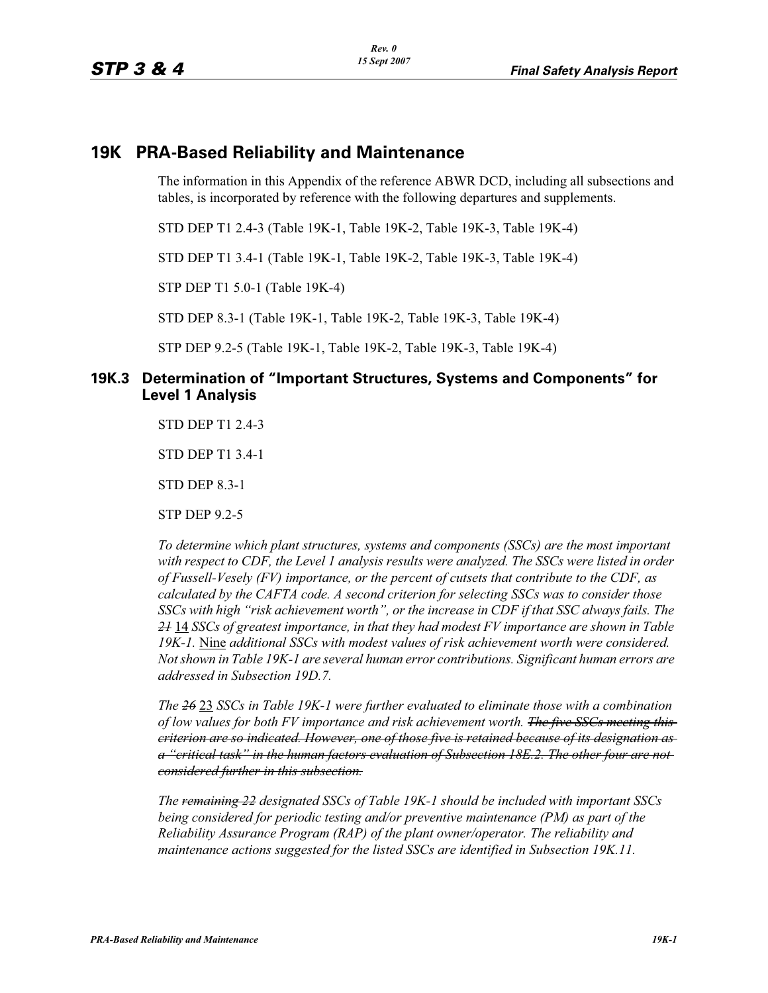## **19K PRA-Based Reliability and Maintenance**

The information in this Appendix of the reference ABWR DCD, including all subsections and tables, is incorporated by reference with the following departures and supplements.

STD DEP T1 2.4-3 (Table 19K-1, Table 19K-2, Table 19K-3, Table 19K-4)

STD DEP T1 3.4-1 (Table 19K-1, Table 19K-2, Table 19K-3, Table 19K-4)

STP DEP T1 5.0-1 (Table 19K-4)

STD DEP 8.3-1 (Table 19K-1, Table 19K-2, Table 19K-3, Table 19K-4)

STP DEP 9.2-5 (Table 19K-1, Table 19K-2, Table 19K-3, Table 19K-4)

### **19K.3 Determination of "Important Structures, Systems and Components" for Level 1 Analysis**

STD DEP T1 2.4-3

STD DEP T1 3.4-1

STD DEP 8.3-1

STP DEP 9.2-5

*To determine which plant structures, systems and components (SSCs) are the most important with respect to CDF, the Level 1 analysis results were analyzed. The SSCs were listed in order of Fussell-Vesely (FV) importance, or the percent of cutsets that contribute to the CDF, as calculated by the CAFTA code. A second criterion for selecting SSCs was to consider those SSCs with high "risk achievement worth", or the increase in CDF if that SSC always fails. The 21* 14 *SSCs of greatest importance, in that they had modest FV importance are shown in Table 19K-1.* Nine *additional SSCs with modest values of risk achievement worth were considered. Not shown in Table 19K-1 are several human error contributions. Significant human errors are addressed in Subsection 19D.7.*

*The 26* 23 *SSCs in Table 19K-1 were further evaluated to eliminate those with a combination of low values for both FV importance and risk achievement worth. The five SSCs meeting this criterion are so indicated. However, one of those five is retained because of its designation as a "critical task" in the human factors evaluation of Subsection 18E.2. The other four are not considered further in this subsection.*

*The remaining 22 designated SSCs of Table 19K-1 should be included with important SSCs being considered for periodic testing and/or preventive maintenance (PM) as part of the Reliability Assurance Program (RAP) of the plant owner/operator. The reliability and maintenance actions suggested for the listed SSCs are identified in Subsection 19K.11.*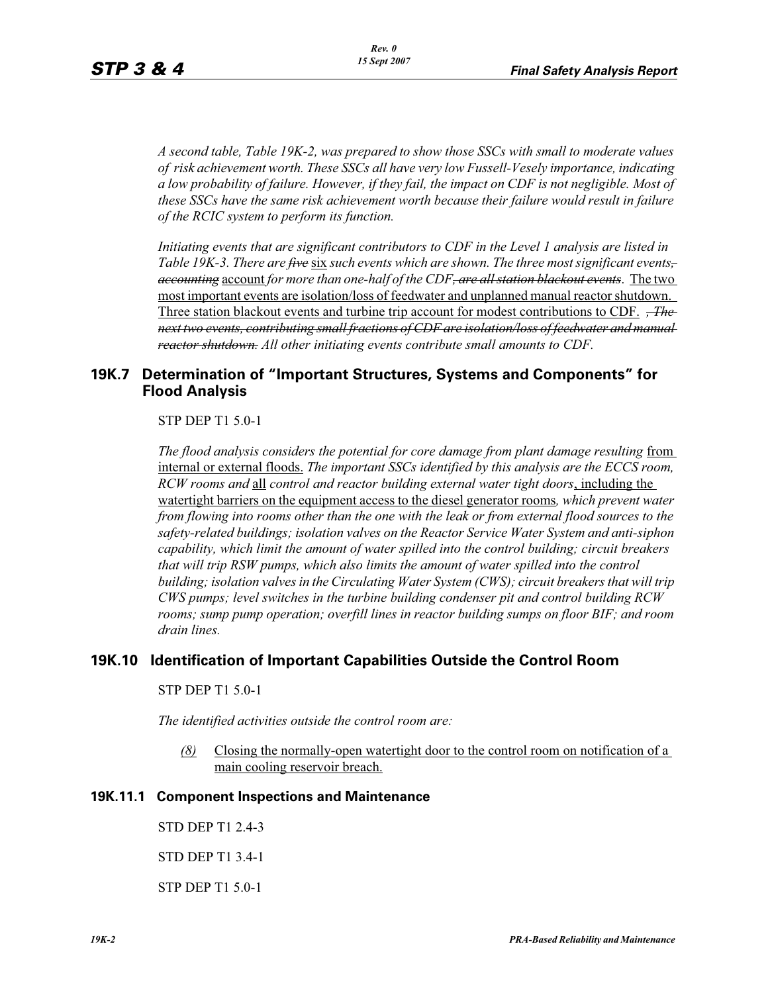*A second table, Table 19K-2, was prepared to show those SSCs with small to moderate values of risk achievement worth. These SSCs all have very low Fussell-Vesely importance, indicating a low probability of failure. However, if they fail, the impact on CDF is not negligible. Most of these SSCs have the same risk achievement worth because their failure would result in failure of the RCIC system to perform its function.*

*Initiating events that are significant contributors to CDF in the Level 1 analysis are listed in Table 19K-3. There are five* six *such events which are shown. The three most significant events, accounting* account *for more than one-half of the CDF, are all station blackout events*. The two most important events are isolation/loss of feedwater and unplanned manual reactor shutdown. Three station blackout events and turbine trip account for modest contributions to CDF. *, The next two events, contributing small fractions of CDF are isolation/loss of feedwater and manual reactor shutdown. All other initiating events contribute small amounts to CDF.*

### **19K.7 Determination of "Important Structures, Systems and Components" for Flood Analysis**

STP DEP T1 5.0-1

The flood analysis considers the potential for core damage from plant damage resulting from internal or external floods. *The important SSCs identified by this analysis are the ECCS room, RCW rooms and* all *control and reactor building external water tight doors*, including the watertight barriers on the equipment access to the diesel generator rooms*, which prevent water from flowing into rooms other than the one with the leak or from external flood sources to the safety-related buildings; isolation valves on the Reactor Service Water System and anti-siphon capability, which limit the amount of water spilled into the control building; circuit breakers that will trip RSW pumps, which also limits the amount of water spilled into the control building; isolation valves in the Circulating Water System (CWS); circuit breakers that will trip CWS pumps; level switches in the turbine building condenser pit and control building RCW rooms; sump pump operation; overfill lines in reactor building sumps on floor BIF; and room drain lines.*

### **19K.10 Identification of Important Capabilities Outside the Control Room**

#### STP DEP T1 5.0-1

*The identified activities outside the control room are:*

*(8)* Closing the normally-open watertight door to the control room on notification of a main cooling reservoir breach.

#### **19K.11.1 Component Inspections and Maintenance**

STD DEP T1 2.4-3 STD DEP T1 3.4-1

STP DEP T1 5.0-1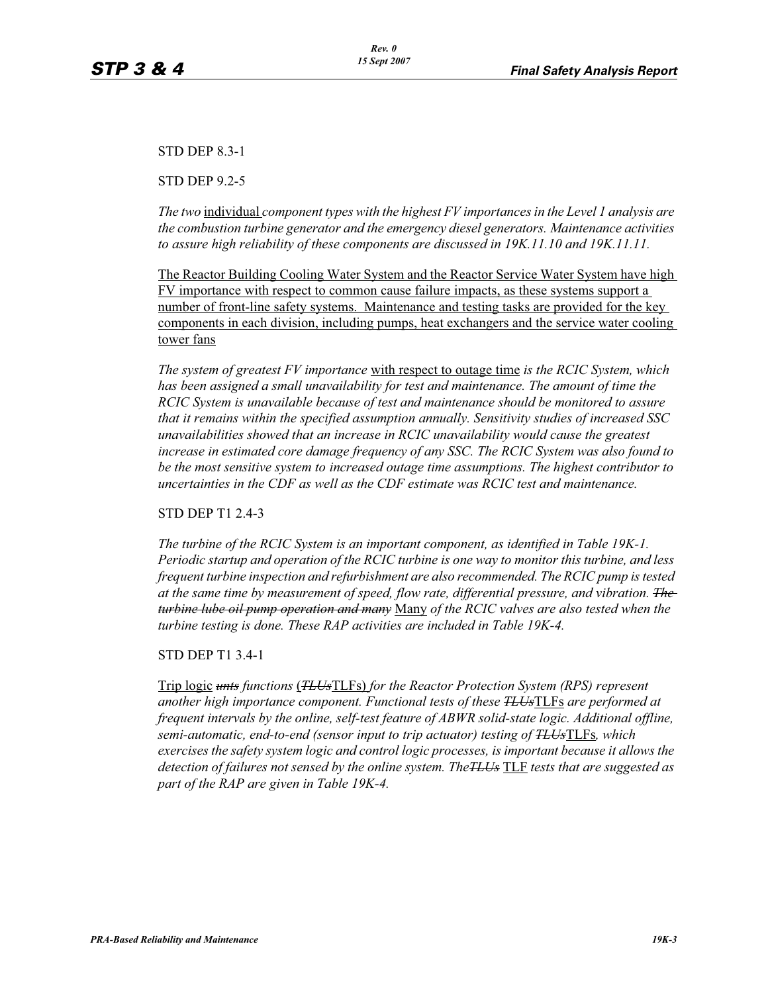STD DEP 8.3-1

STD DEP 9.2-5

*The two* individual *component types with the highest FV importances in the Level 1 analysis are the combustion turbine generator and the emergency diesel generators. Maintenance activities to assure high reliability of these components are discussed in 19K.11.10 and 19K.11.11.*

The Reactor Building Cooling Water System and the Reactor Service Water System have high FV importance with respect to common cause failure impacts, as these systems support a number of front-line safety systems. Maintenance and testing tasks are provided for the key components in each division, including pumps, heat exchangers and the service water cooling tower fans

*The system of greatest FV importance* with respect to outage time *is the RCIC System, which*  has been assigned a small unavailability for test and maintenance. The amount of time the *RCIC System is unavailable because of test and maintenance should be monitored to assure that it remains within the specified assumption annually. Sensitivity studies of increased SSC unavailabilities showed that an increase in RCIC unavailability would cause the greatest increase in estimated core damage frequency of any SSC. The RCIC System was also found to be the most sensitive system to increased outage time assumptions. The highest contributor to uncertainties in the CDF as well as the CDF estimate was RCIC test and maintenance.*

STD DEP T1 2.4-3

*The turbine of the RCIC System is an important component, as identified in Table 19K-1. Periodic startup and operation of the RCIC turbine is one way to monitor this turbine, and less frequent turbine inspection and refurbishment are also recommended. The RCIC pump is tested at the same time by measurement of speed, flow rate, differential pressure, and vibration. The turbine lube oil pump operation and many* Many *of the RCIC valves are also tested when the turbine testing is done. These RAP activities are included in Table 19K-4.*

STD DEP T1 3.4-1

Trip logic *unts functions* (*TLUs*TLFs) *for the Reactor Protection System (RPS) represent another high importance component. Functional tests of these TLUs*TLFs *are performed at frequent intervals by the online, self-test feature of ABWR solid-state logic. Additional offline, semi-automatic, end-to-end (sensor input to trip actuator) testing of TLUs*TLFs*, which exercises the safety system logic and control logic processes, is important because it allows the detection of failures not sensed by the online system. TheTLUs* TLF *tests that are suggested as part of the RAP are given in Table 19K-4.*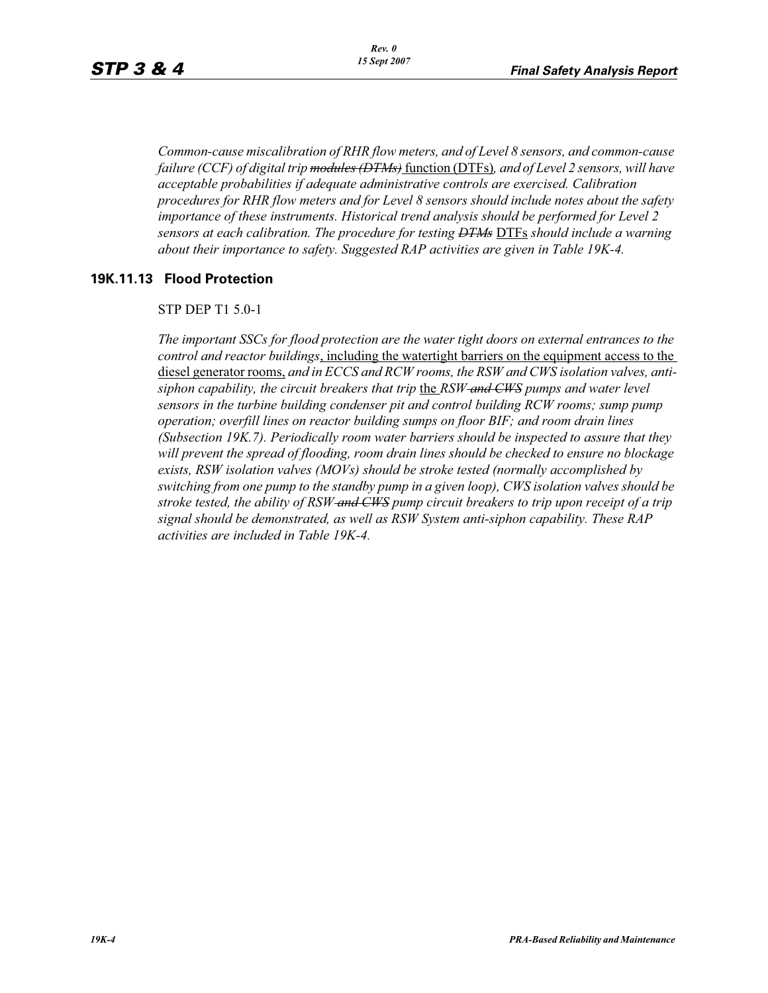*Common-cause miscalibration of RHR flow meters, and of Level 8 sensors, and common-cause failure (CCF) of digital trip modules (DTMs)* function (DTFs)*, and of Level 2 sensors, will have acceptable probabilities if adequate administrative controls are exercised. Calibration procedures for RHR flow meters and for Level 8 sensors should include notes about the safety importance of these instruments. Historical trend analysis should be performed for Level 2 sensors at each calibration. The procedure for testing DTMs* DTFs *should include a warning about their importance to safety. Suggested RAP activities are given in Table 19K-4.*

#### **19K.11.13 Flood Protection**

#### STP DEP T1 5.0-1

*The important SSCs for flood protection are the water tight doors on external entrances to the control and reactor buildings*, including the watertight barriers on the equipment access to the diesel generator rooms, *and in ECCS and RCW rooms, the RSW and CWS isolation valves, antisiphon capability, the circuit breakers that trip* the *RSW and CWS pumps and water level sensors in the turbine building condenser pit and control building RCW rooms; sump pump operation; overfill lines on reactor building sumps on floor BIF; and room drain lines (Subsection 19K.7). Periodically room water barriers should be inspected to assure that they will prevent the spread of flooding, room drain lines should be checked to ensure no blockage exists, RSW isolation valves (MOVs) should be stroke tested (normally accomplished by switching from one pump to the standby pump in a given loop), CWS isolation valves should be stroke tested, the ability of RSW and CWS pump circuit breakers to trip upon receipt of a trip signal should be demonstrated, as well as RSW System anti-siphon capability. These RAP activities are included in Table 19K-4.*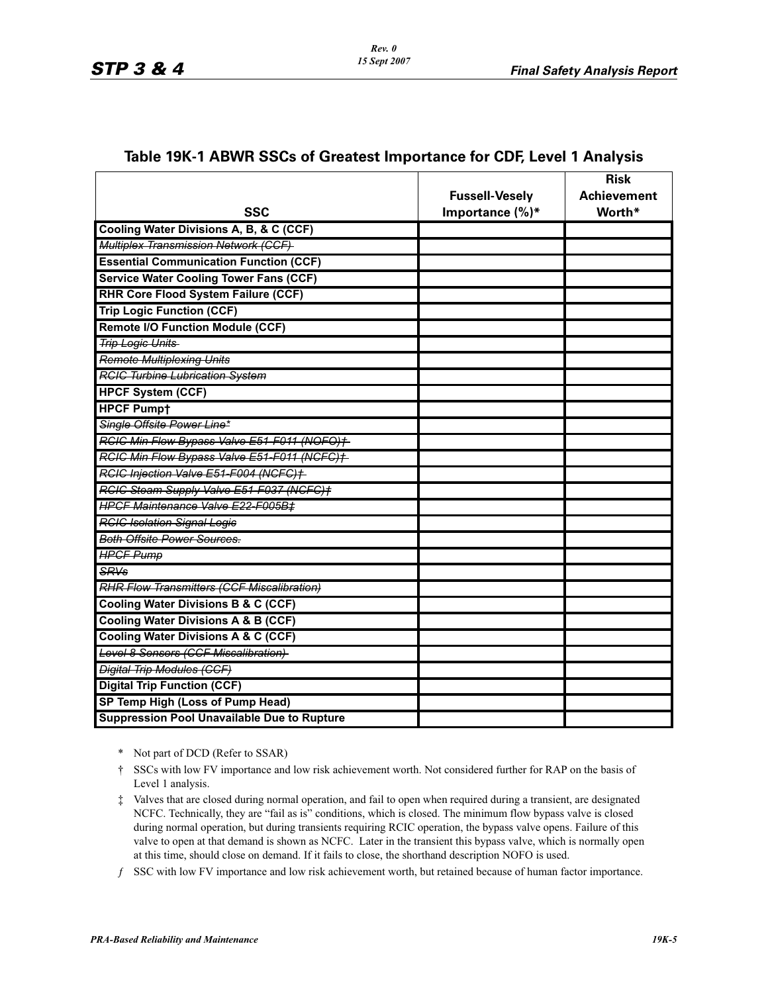|                                                    |                       | <b>Risk</b>        |
|----------------------------------------------------|-----------------------|--------------------|
|                                                    | <b>Fussell-Vesely</b> | <b>Achievement</b> |
| <b>SSC</b>                                         | Importance $(\%)^*$   | Worth*             |
| Cooling Water Divisions A, B, & C (CCF)            |                       |                    |
| Multiplex Transmission Network (CCF)               |                       |                    |
| <b>Essential Communication Function (CCF)</b>      |                       |                    |
| <b>Service Water Cooling Tower Fans (CCF)</b>      |                       |                    |
| <b>RHR Core Flood System Failure (CCF)</b>         |                       |                    |
| <b>Trip Logic Function (CCF)</b>                   |                       |                    |
| <b>Remote I/O Function Module (CCF)</b>            |                       |                    |
| <b>Trip Logic Units</b>                            |                       |                    |
| <b>Remote Multiplexing Units</b>                   |                       |                    |
| <b>RGIG Turbine Lubrication System</b>             |                       |                    |
| <b>HPCF System (CCF)</b>                           |                       |                    |
| <b>HPCF Pumpt</b>                                  |                       |                    |
| Single Offsite Power Line*                         |                       |                    |
| RCIC Min Flow Bypass Valve E51-F011 (NOFO)+        |                       |                    |
| RCIC Min Flow Bypass Valve E51-F011 (NCFC)+        |                       |                    |
| RCIC Injection Valve E51-F004 (NCFC)+              |                       |                    |
| RCIC Steam Supply Valve E51-F037 (NCFC)+           |                       |                    |
| <b>HPCF Maintenance Valve E22-F005B‡</b>           |                       |                    |
| <b>RCIC Isolation Signal Logie</b>                 |                       |                    |
| <b>Both Offsite Power Sources.</b>                 |                       |                    |
| <b>HPGF Pump</b>                                   |                       |                    |
| SRVs                                               |                       |                    |
| <b>RHR Flow Transmitters (CCF Miscalibration)</b>  |                       |                    |
| <b>Cooling Water Divisions B &amp; C (CCF)</b>     |                       |                    |
| <b>Cooling Water Divisions A &amp; B (CCF)</b>     |                       |                    |
| <b>Cooling Water Divisions A &amp; C (CCF)</b>     |                       |                    |
| Level 8 Sensors (CCF Miscalibration)               |                       |                    |
| <b>Digital Trip Modules (CCF)</b>                  |                       |                    |
| <b>Digital Trip Function (CCF)</b>                 |                       |                    |
| SP Temp High (Loss of Pump Head)                   |                       |                    |
| <b>Suppression Pool Unavailable Due to Rupture</b> |                       |                    |

#### **Table 19K-1 ABWR SSCs of Greatest Importance for CDF, Level 1 Analysis**

- \* Not part of DCD (Refer to SSAR)
- † SSCs with low FV importance and low risk achievement worth. Not considered further for RAP on the basis of Level 1 analysis.
- ‡ Valves that are closed during normal operation, and fail to open when required during a transient, are designated NCFC. Technically, they are "fail as is" conditions, which is closed. The minimum flow bypass valve is closed during normal operation, but during transients requiring RCIC operation, the bypass valve opens. Failure of this valve to open at that demand is shown as NCFC. Later in the transient this bypass valve, which is normally open at this time, should close on demand. If it fails to close, the shorthand description NOFO is used.
- ƒ SSC with low FV importance and low risk achievement worth, but retained because of human factor importance.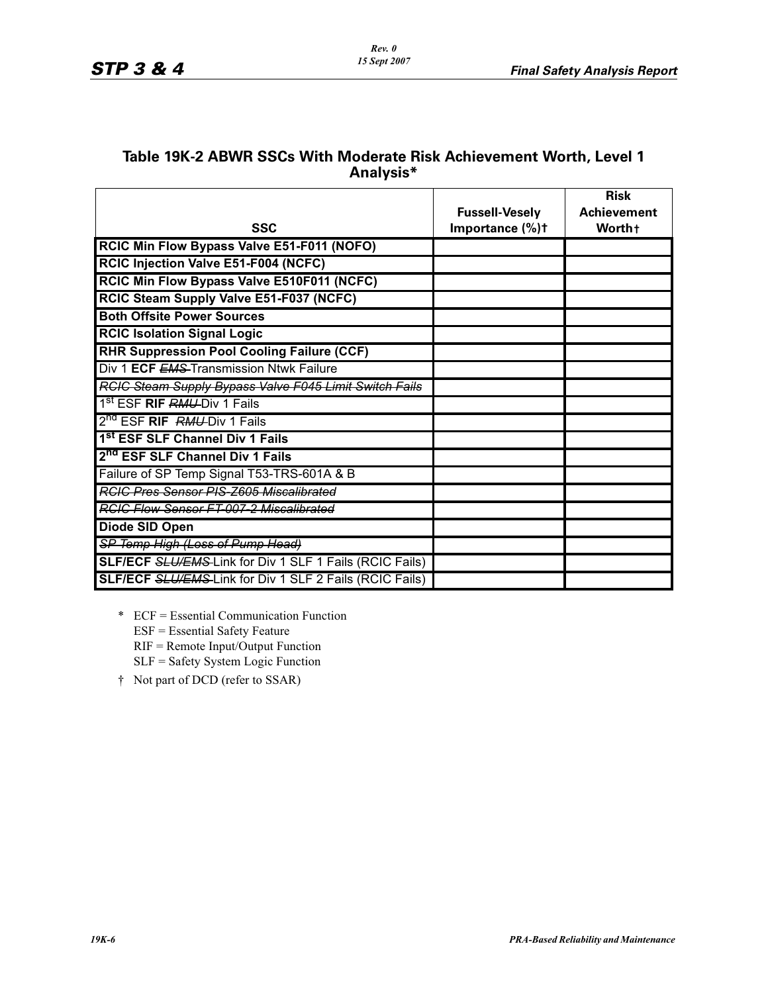### **Table 19K-2 ABWR SSCs With Moderate Risk Achievement Worth, Level 1 Analysis\***

|                                                                |                                          | <b>Risk</b><br><b>Achievement</b> |
|----------------------------------------------------------------|------------------------------------------|-----------------------------------|
| <b>SSC</b>                                                     | <b>Fussell-Vesely</b><br>Importance (%)t | Worth+                            |
| RCIC Min Flow Bypass Valve E51-F011 (NOFO)                     |                                          |                                   |
| RCIC Injection Valve E51-F004 (NCFC)                           |                                          |                                   |
| RCIC Min Flow Bypass Valve E510F011 (NCFC)                     |                                          |                                   |
| RCIC Steam Supply Valve E51-F037 (NCFC)                        |                                          |                                   |
| <b>Both Offsite Power Sources</b>                              |                                          |                                   |
| <b>RCIC Isolation Signal Logic</b>                             |                                          |                                   |
| <b>RHR Suppression Pool Cooling Failure (CCF)</b>              |                                          |                                   |
| Div 1 ECF EMS-Transmission Ntwk Failure                        |                                          |                                   |
| RGIC Steam Supply Bypass Valve F045 Limit Switch Fails         |                                          |                                   |
| 1 <sup>st</sup> ESF RIF RMU-Div 1 Fails                        |                                          |                                   |
| 2 <sup>nd</sup> ESF RIF RMU-Div 1 Fails                        |                                          |                                   |
| 1 <sup>st</sup> ESF SLF Channel Div 1 Fails                    |                                          |                                   |
| 2 <sup>nd</sup> ESF SLF Channel Div 1 Fails                    |                                          |                                   |
| Failure of SP Temp Signal T53-TRS-601A & B                     |                                          |                                   |
| <b>RGIC Pres Sensor PIS Z605 Miscalibrated</b>                 |                                          |                                   |
| <b>RCIC Flow Sensor FT-007-2 Miscalibrated</b>                 |                                          |                                   |
| Diode SID Open                                                 |                                          |                                   |
| SP Temp High (Loss of Pump Head)                               |                                          |                                   |
| <b>SLF/ECF SLU/EMS-Link for Div 1 SLF 1 Fails (RCIC Fails)</b> |                                          |                                   |
| <b>SLF/ECF SLU/EMS-Link for Div 1 SLF 2 Fails (RCIC Fails)</b> |                                          |                                   |

- \* ECF = Essential Communication Function ESF = Essential Safety Feature RIF = Remote Input/Output Function SLF = Safety System Logic Function
- † Not part of DCD (refer to SSAR)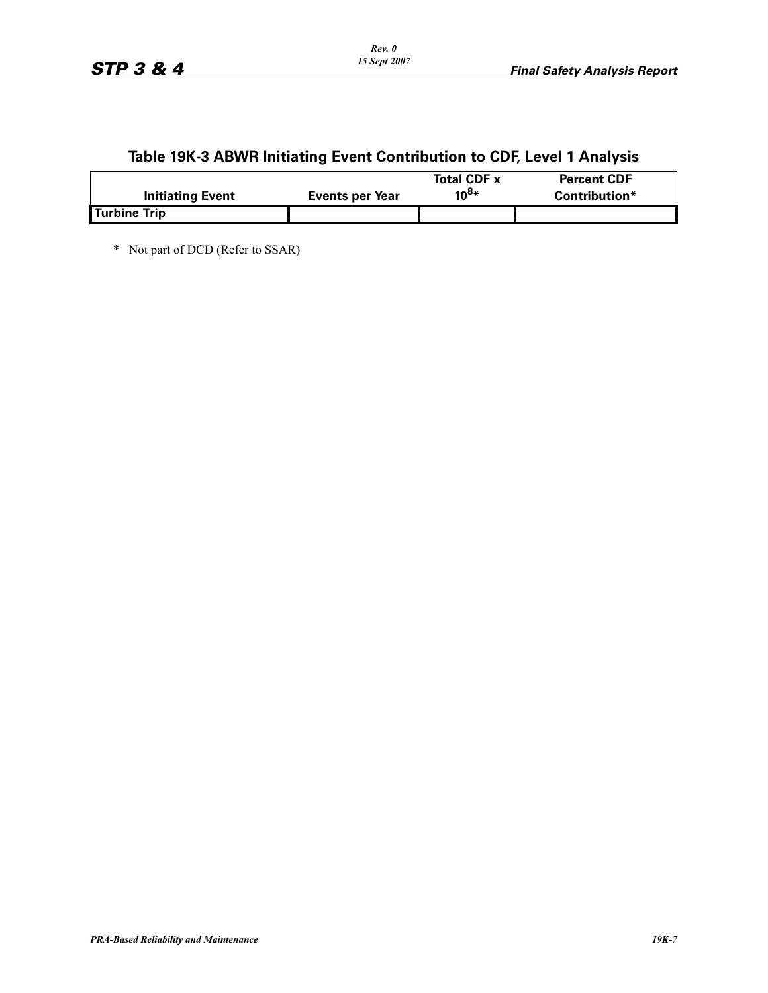# **Table 19K-3 ABWR Initiating Event Contribution to CDF, Level 1 Analysis**

|                         |                 | <b>Total CDF x</b> | <b>Percent CDF</b> |
|-------------------------|-----------------|--------------------|--------------------|
| <b>Initiating Event</b> | Events per Year | $10^{8*}$          | Contribution*      |
| <b>Turbine Trip</b>     |                 |                    |                    |

\* Not part of DCD (Refer to SSAR)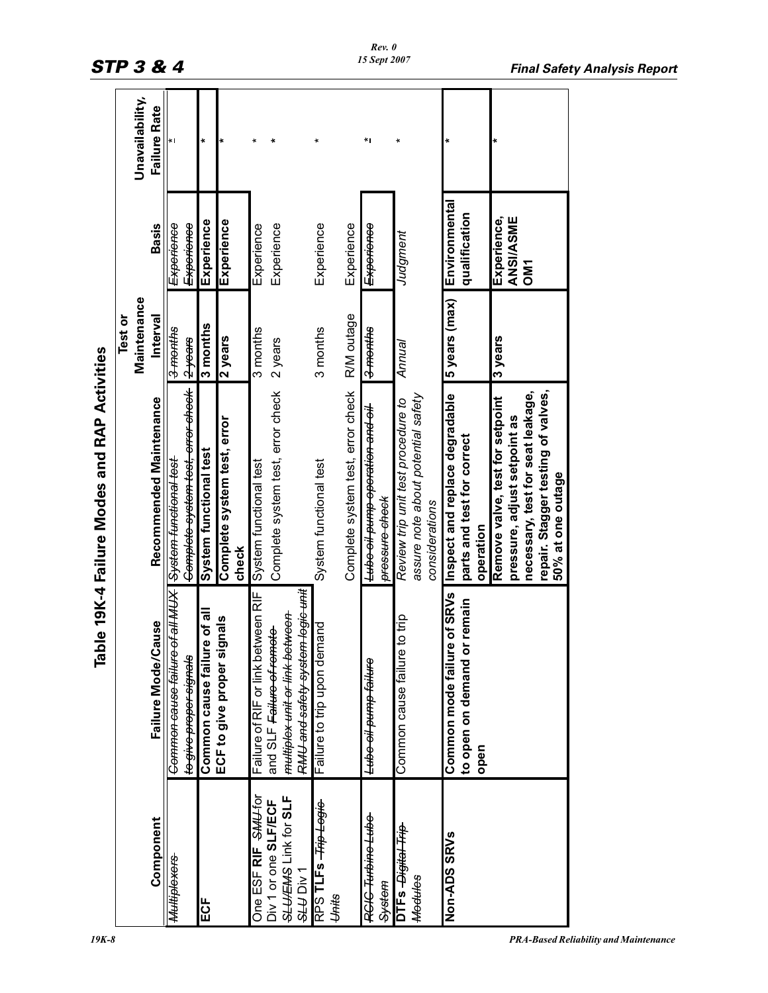|                                   | 익                                           | ble 19K-4 Failure Modes and RAP Activities   |                     |                  |                     |
|-----------------------------------|---------------------------------------------|----------------------------------------------|---------------------|------------------|---------------------|
|                                   |                                             |                                              | Test or             |                  |                     |
|                                   |                                             |                                              | Maintenance         |                  | Unavailability,     |
| Component                         | Failure Mode/Cause                          | Recommended Maintenance                      | Interval            | <b>Basis</b>     | <b>Failure Rate</b> |
| Multiplexers                      | Common cause failure of all MUX             | <del>jsoj jeuojpunj wojsAS</del>             | 3-months            | Experience       |                     |
|                                   | t <del>o give proper signals</del>          | <del>Complete system test, error check</del> | 2years              | Experience       |                     |
| ECF                               | Common cause failure of all                 | System functional test                       | 3 months            | Experience       | $\ast$              |
|                                   | ECF to give proper signals                  | Complete system test, error                  | 2 years             | Experience       |                     |
|                                   |                                             | check                                        |                     |                  |                     |
| One ESF RIF SMU-for               | Failure of RIF or link between RIF          | System functional test                       | 3 months            | Experience       |                     |
| Div 1 or one SLF/ECF              | and SLF Failure of remote                   | Complete system test, error check            | 2 years             | Experience       |                     |
| SLUCEMS Link for SLF<br>SLU Div 1 | <del>multiplex unit or link between</del>   |                                              |                     |                  |                     |
|                                   | <del>RMU and safety system legic unit</del> |                                              |                     |                  |                     |
| RPS TLFs - Trip Logie             | Failure to trip upon demand                 | System functional test                       | 3 months            | Experience       |                     |
| Units                             |                                             |                                              |                     |                  |                     |
|                                   |                                             | Complete system test, error check            | R/M outage          | Experience       |                     |
| RCIC Turbine Lube                 | <del>Lube oil pump failure</del>            | <del>Lube oil pump operation and oil</del>   | <del>3 months</del> | Experience       | *۱                  |
| System                            |                                             | pressure check                               |                     |                  |                     |
| DTFs <i>Digital Trip</i>          | e to trip<br>Common cause failur            | Review trip unit test procedure to           | Annual              | Judgment         |                     |
| <b>Medules</b>                    |                                             | assure note about potential safety           |                     |                  |                     |
|                                   |                                             | considerations                               |                     |                  |                     |
| Non-ADS SRVs                      | Common mode failure of SRVs                 | Inspect and replace degradable               | 5 years (max)       | Environmental    |                     |
|                                   | or remain<br>to open on demand              | parts and test for correct                   |                     | qualification    |                     |
|                                   | open                                        | operation                                    |                     |                  |                     |
|                                   |                                             | Remove valve, test for setpoint              | 3 years             | Experience,      |                     |
|                                   |                                             | pressure, adjust setpoint as                 |                     | <b>ANSI/ASME</b> |                     |
|                                   |                                             | necessary, test for seat leakage,            |                     | OM <sub>1</sub>  |                     |
|                                   |                                             | repair. Stagger testing of valves,           |                     |                  |                     |
|                                   |                                             | 50% at one outage                            |                     |                  |                     |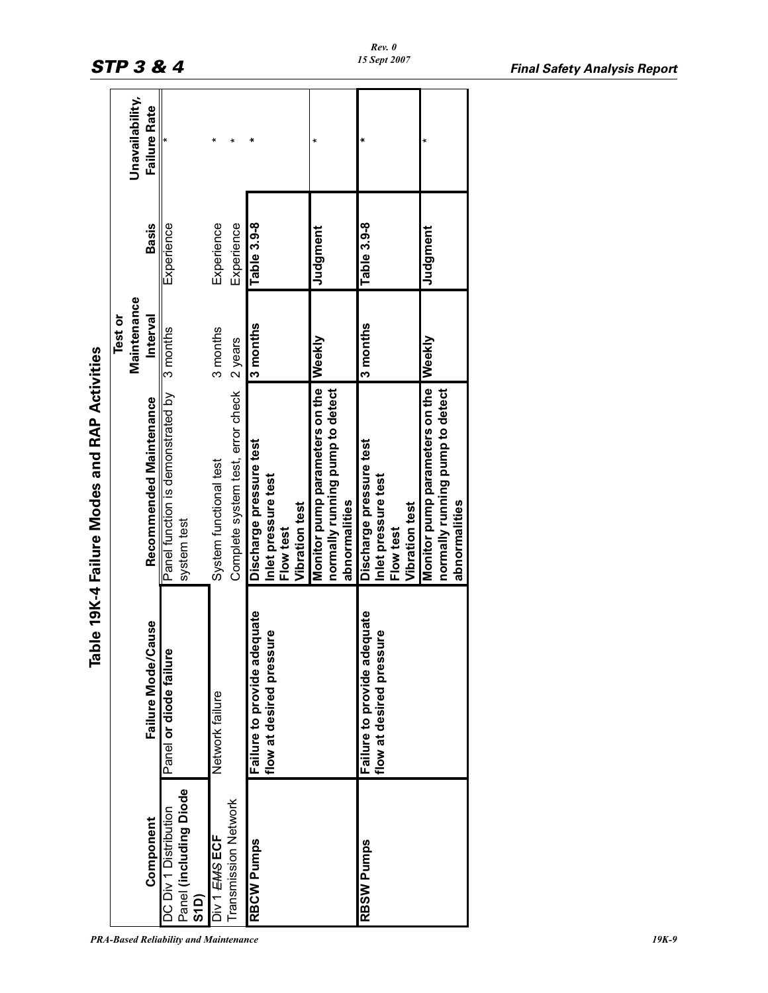|                                |                              | Table 19K-4 Failure Modes and RAP Activities |             |              |                     |
|--------------------------------|------------------------------|----------------------------------------------|-------------|--------------|---------------------|
|                                |                              |                                              | Test or     |              |                     |
|                                |                              |                                              | Maintenance |              | Unavailability,     |
| Component                      | Failure Mode/Cause           | Recommended Maintenance                      | Interval    | <b>Basis</b> | <b>Failure Rate</b> |
| DC Div 1 Distribution          | စ္<br>Panel or diode failu   | Panel function is demonstrated by 3 months   |             | Experience   |                     |
| Panel (including Diode<br>S1D) |                              | system test                                  |             |              |                     |
| Div 1 EMS ECF                  | Network failure              | System functional test                       | 3 months    | Experience   |                     |
| Transmission Network           |                              | Complete system test, error check 2 years    |             | Experience   |                     |
| <b>RBCW Pumps</b>              | Failure to provide adequate  | Discharge pressure test                      | 3 months    | Table 3.9-8  |                     |
|                                | sure<br>flow at desired pres | Inlet pressure test                          |             |              |                     |
|                                |                              | Flow test                                    |             |              |                     |
|                                |                              | <b>Vibration test</b>                        |             |              |                     |
|                                |                              | Monitor pump parameters on the               | Weekly      | Judgment     |                     |
|                                |                              | normally running pump to detect              |             |              |                     |
|                                |                              | abnormalities                                |             |              |                     |
| RBSW Pumps                     | Failure to provide adequate  | Discharge pressure test                      | 3 months    | Table 3.9-8  |                     |
|                                | sure<br>flow at desired pres | Inlet pressure test                          |             |              |                     |
|                                |                              | Flow test                                    |             |              |                     |
|                                |                              | Vibration test                               |             |              |                     |
|                                |                              | Monitor pump parameters on the               | Weekly      | Judgment     |                     |
|                                |                              | normally running pump to detect              |             |              |                     |
|                                |                              | abnormalities                                |             |              |                     |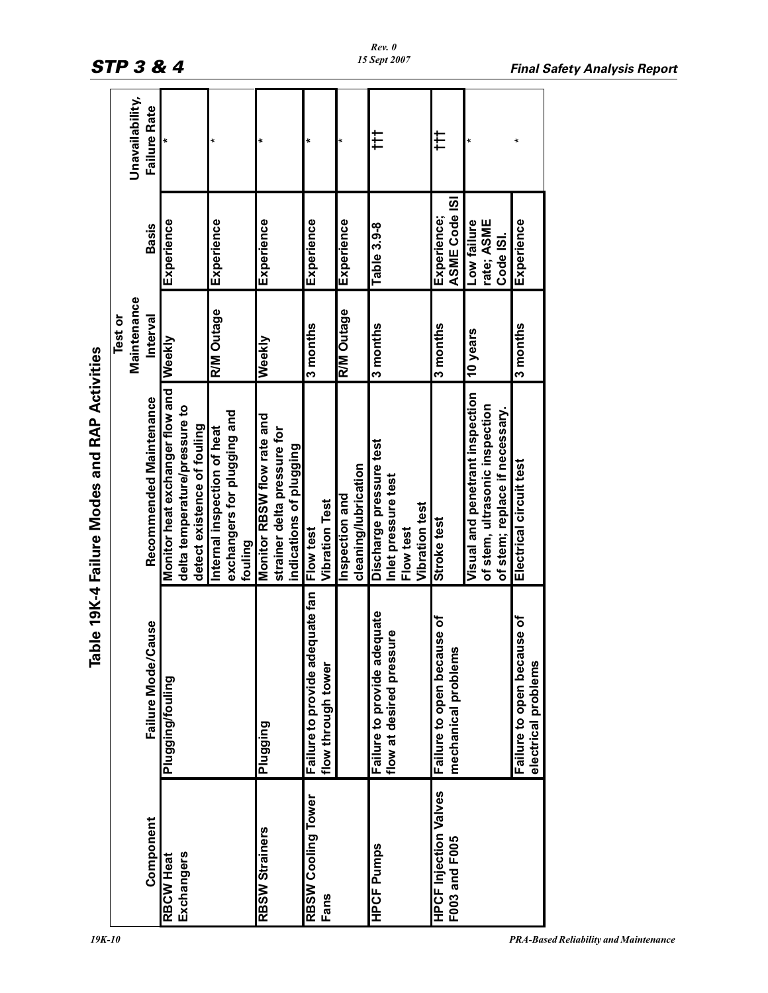|                              | ۴g                                    | ble 19K-4 Failure Modes and RAP Activities |                   |               |                     |
|------------------------------|---------------------------------------|--------------------------------------------|-------------------|---------------|---------------------|
|                              |                                       |                                            | Test or           |               |                     |
|                              |                                       |                                            | Maintenance       |               | Unavailability,     |
| Component                    | Cause<br>Failure Mode/                | Recommended Maintenance                    | Interval          | <b>Basis</b>  | <b>Failure Rate</b> |
| <b>RBCW Heat</b>             | Plugging/fouling                      | Monitor heat exchanger flow and VVeekly    |                   | Experience    |                     |
| Exchangers                   |                                       | delta temperature/pressure to              |                   |               |                     |
|                              |                                       | detect existence of fouling                |                   |               |                     |
|                              |                                       | Internal inspection of heat                | <b>R/M Outage</b> | Experience    |                     |
|                              |                                       | exchangers for plugging and                |                   |               |                     |
|                              |                                       | fouling                                    |                   |               |                     |
| RBSW Strainers               | Plugging                              | Monitor RBSW flow rate and                 | Weekly            | Experience    |                     |
|                              |                                       | strainer delta pressure for                |                   |               |                     |
|                              |                                       | indications of plugging                    |                   |               |                     |
| RBSW Cooling Tower           | equate fan<br>Failure to provide ad   | Flow test                                  | 3 months          | Experience    |                     |
| Fans                         | flow through tower                    | <b>Vibration Test</b>                      |                   |               |                     |
|                              |                                       | Inspection and                             | <b>R/M Outage</b> | Experience    |                     |
|                              |                                       | cleaning/lubrication                       |                   |               |                     |
| <b>HPCF Pumps</b>            | dequate<br>Failure to provide ao      | Discharge pressure test                    | 3 months          | Table 3.9-8   | ŧ                   |
|                              | flow at desired pressure              | Inlet pressure test                        |                   |               |                     |
|                              |                                       | Flow test                                  |                   |               |                     |
|                              |                                       | Vibration test                             |                   |               |                     |
| <b>HPCF Injection Valves</b> | Failure to open because of            | Stroke test                                | 3 months          | Experience;   | ₽                   |
| F003 and F005                | <u>ഗ</u><br>mechanical problem        |                                            |                   | ASME Code ISI |                     |
|                              |                                       | Visual and penetrant inspection            | 10 years          | Low failure   |                     |
|                              |                                       | of stem, ultrasonic inspection             |                   | rate; ASME    |                     |
|                              |                                       | of stem; replace if necessary.             |                   | Code ISI.     |                     |
|                              | <b>use of</b><br>Failure to open beca | Electrical circuit test                    | 3 months          | Experience    |                     |
|                              | electrical problems                   |                                            |                   |               |                     |

#### *Rev. 0 15 Sept 2007*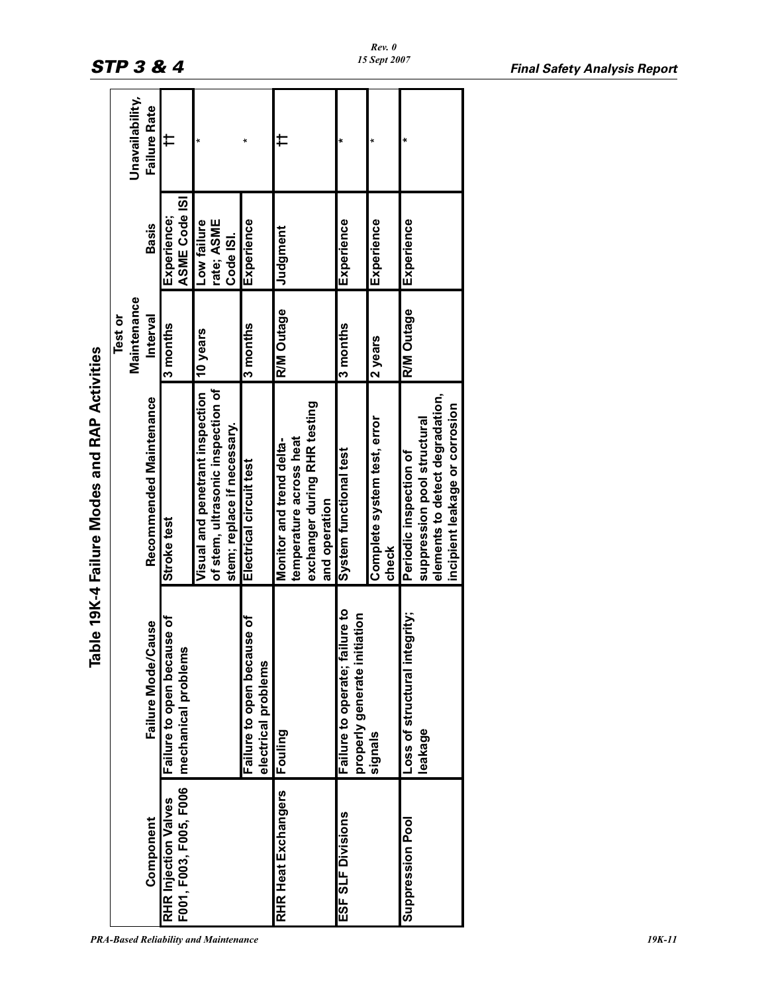|                        |                                        | <b>SALL SERVING AND SALL STRAIGHT AND AN ASSESS</b> |                   |               |                     |
|------------------------|----------------------------------------|-----------------------------------------------------|-------------------|---------------|---------------------|
|                        |                                        |                                                     | Test or           |               |                     |
|                        |                                        |                                                     | Maintenance       |               | Unavailability,     |
| Component              | Failure Mode/Cause                     | Recommended Maintenance                             | Interval          | <b>Basis</b>  | <b>Failure Rate</b> |
| RHR Injection Valves   | <b>Ise of</b><br>Failure to open becau | Stroke test                                         | 3 months          | Experience;   | ⇇                   |
| F001, F003, F005, F006 | mechanical problems                    |                                                     |                   | ASME Code ISI |                     |
|                        |                                        | Visual and penetrant inspection                     | 10 years          | Low failure   |                     |
|                        |                                        | of stem, ultrasonic inspection of                   |                   | rate; ASME    |                     |
|                        |                                        | stem; replace if necessary.                         |                   | Code ISI.     |                     |
|                        | ise of<br>Failure to open becau        | Electrical circuit test                             | 3 months          | Experience    |                     |
|                        | electrical problems                    |                                                     |                   |               |                     |
| RHR Heat Exchangers    | Fouling                                | Monitor and trend delta-                            | <b>R/M Outage</b> | Judgment      |                     |
|                        |                                        | temperature across heat                             |                   |               |                     |
|                        |                                        | exchanger during RHR testing                        |                   |               |                     |
|                        |                                        | and operation                                       |                   |               |                     |
| ESF SLF Divisions      | ilure to<br>Failure to operate; fai    | System functional test                              | 3 months          | Experience    |                     |
|                        | iation<br>properly generate init       |                                                     |                   |               |                     |
|                        | signals                                | Complete system test, error                         | 2 years           | Experience    |                     |
|                        |                                        | check                                               |                   |               |                     |
| Suppression Pool       | Loss of structural integrity;          | Periodic inspection of                              | <b>R/M Outage</b> | Experience    |                     |
|                        | leakage                                | suppression pool structural                         |                   |               |                     |
|                        |                                        | elements to detect degradation,                     |                   |               |                     |
|                        |                                        | incipient leakage or corrosion                      |                   |               |                     |

Table 19K-4 Failure Modes and RAP Activities **Table 19K-4 Failure Modes and RAP Activities**

ī